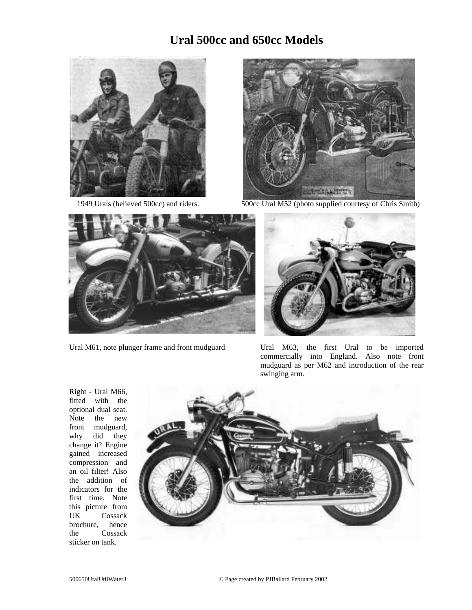## **Ural 500cc and 650cc Models**





1949 Urals (believed 500cc) and riders. 500cc Ural M52 (photo supplied courtesy of Chris Smith)





Ural M61, note plunger frame and front mudguard Ural M63, the first Ural to be imported commercially into England. Also note front mudguard as per M62 and introduction of the rear swinging arm.

Right - Ural M66, fitted with the optional dual seat. Note the new front mudguard, why did they change it? Engine gained increased compression and an oil filter! Also the addition of indicators for the first time. Note this picture from UK Cossack brochure, hence the Cossack sticker on tank.

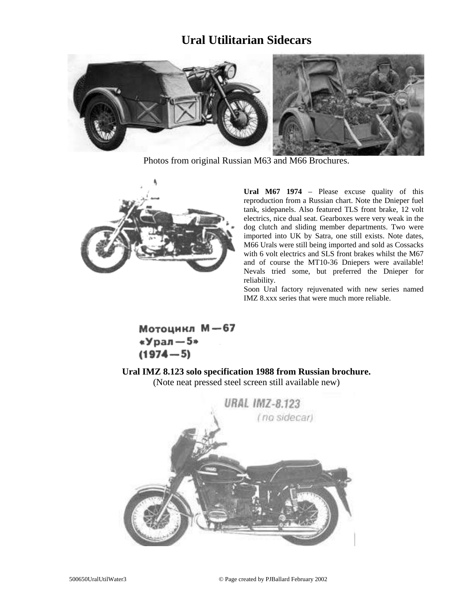## **Ural Utilitarian Sidecars**



Photos from original Russian M63 and M66 Brochures.



**Ural M67 1974** – Please excuse quality of this reproduction from a Russian chart. Note the Dnieper fuel tank, sidepanels. Also featured TLS front brake, 12 volt electrics, nice dual seat. Gearboxes were very weak in the dog clutch and sliding member departments. Two were imported into UK by Satra, one still exists. Note dates, M66 Urals were still being imported and sold as Cossacks with 6 volt electrics and SLS front brakes whilst the M67 and of course the MT10-36 Dniepers were available! Nevals tried some, but preferred the Dnieper for reliability.

Soon Ural factory rejuvenated with new series named IMZ 8.xxx series that were much more reliable.

Мотоцикл М-67 «Урал $-5*$  $(1974 - 5)$ 

**Ural IMZ 8.123 solo specification 1988 from Russian brochure.** (Note neat pressed steel screen still available new)